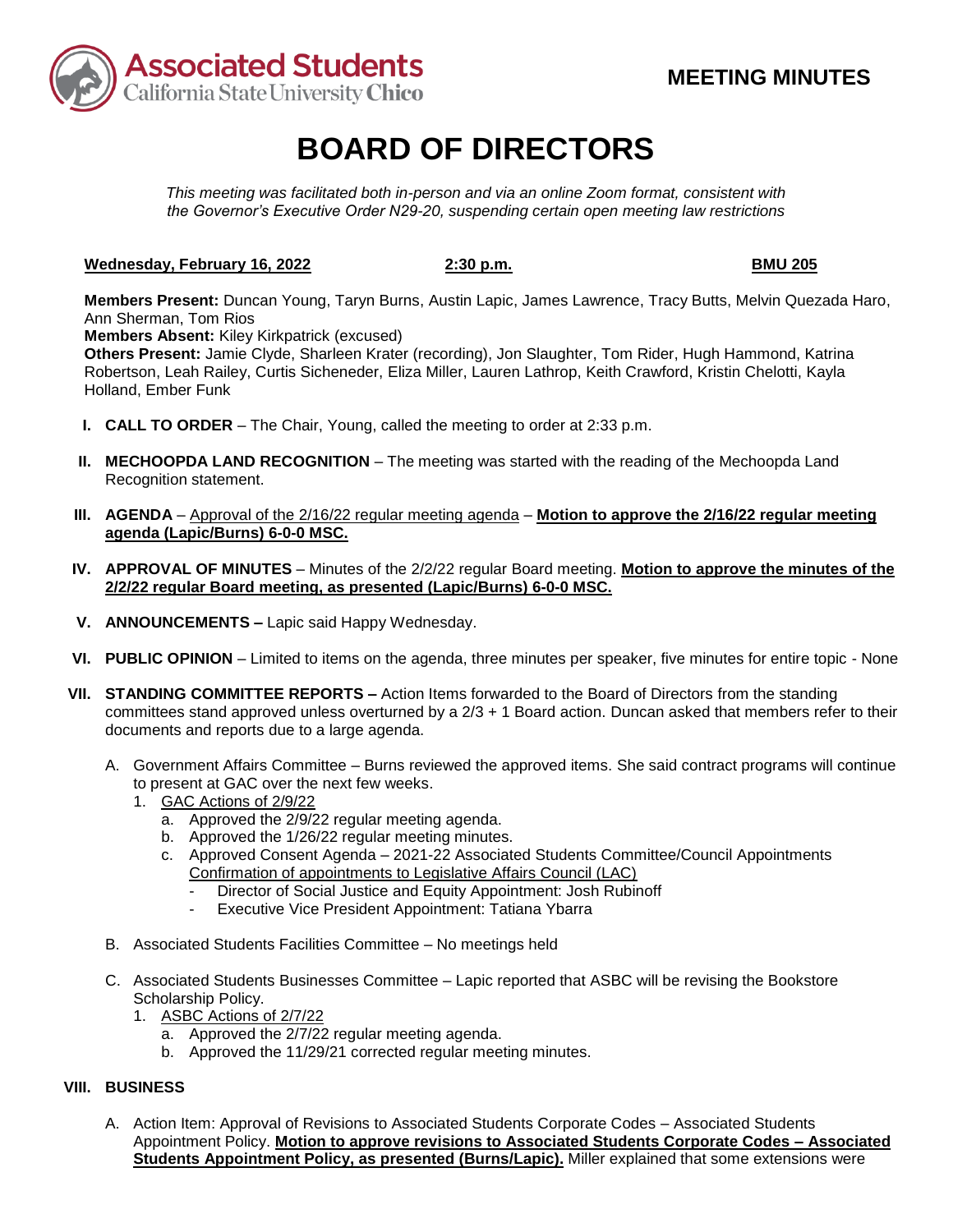

# **BOARD OF DIRECTORS**

*This meeting was facilitated both in-person and via an online Zoom format, consistent with the Governor's Executive Order N29-20, suspending certain open meeting law restrictions* 

### **Wednesday, February 16, 2022 2:30 p.m.** 2:30 p.m. BMU 205

**Members Present:** Duncan Young, Taryn Burns, Austin Lapic, James Lawrence, Tracy Butts, Melvin Quezada Haro, Ann Sherman, Tom Rios

**Members Absent:** Kiley Kirkpatrick (excused)

**Others Present:** Jamie Clyde, Sharleen Krater (recording), Jon Slaughter, Tom Rider, Hugh Hammond, Katrina Robertson, Leah Railey, Curtis Sicheneder, Eliza Miller, Lauren Lathrop, Keith Crawford, Kristin Chelotti, Kayla Holland, Ember Funk

- **I. CALL TO ORDER**  The Chair, Young, called the meeting to order at 2:33 p.m.
- **II. MECHOOPDA LAND RECOGNITION** The meeting was started with the reading of the Mechoopda Land Recognition statement.
- **III. AGENDA**  Approval of the 2/16/22 regular meeting agenda **Motion to approve the 2/16/22 regular meeting agenda (Lapic/Burns) 6-0-0 MSC.**
- **IV. APPROVAL OF MINUTES**  Minutes of the 2/2/22 regular Board meeting. **Motion to approve the minutes of the 2/2/22 regular Board meeting, as presented (Lapic/Burns) 6-0-0 MSC.**
- **V. ANNOUNCEMENTS –** Lapic said Happy Wednesday.
- **VI. PUBLIC OPINION**  Limited to items on the agenda, three minutes per speaker, five minutes for entire topic None
- **VII. STANDING COMMITTEE REPORTS –** Action Items forwarded to the Board of Directors from the standing committees stand approved unless overturned by a 2/3 + 1 Board action. Duncan asked that members refer to their documents and reports due to a large agenda.
	- A. Government Affairs Committee Burns reviewed the approved items. She said contract programs will continue to present at GAC over the next few weeks.
		- 1. GAC Actions of 2/9/22
			- a. Approved the 2/9/22 regular meeting agenda.
			- b. Approved the 1/26/22 regular meeting minutes.
			- c. Approved Consent Agenda 2021-22 Associated Students Committee/Council Appointments Confirmation of appointments to Legislative Affairs Council (LAC)
				- Director of Social Justice and Equity Appointment: Josh Rubinoff
				- Executive Vice President Appointment: Tatiana Ybarra
	- B. Associated Students Facilities Committee No meetings held
	- C. Associated Students Businesses Committee Lapic reported that ASBC will be revising the Bookstore Scholarship Policy.
		- 1. ASBC Actions of 2/7/22
			- a. Approved the 2/7/22 regular meeting agenda.
			- b. Approved the 11/29/21 corrected regular meeting minutes.

## **VIII. BUSINESS**

 **Students Appointment Policy, as presented (Burns/Lapic).** Miller explained that some extensions were A. Action Item: Approval of Revisions to Associated Students Corporate Codes – Associated Students Appointment Policy. **Motion to approve revisions to Associated Students Corporate Codes – Associated**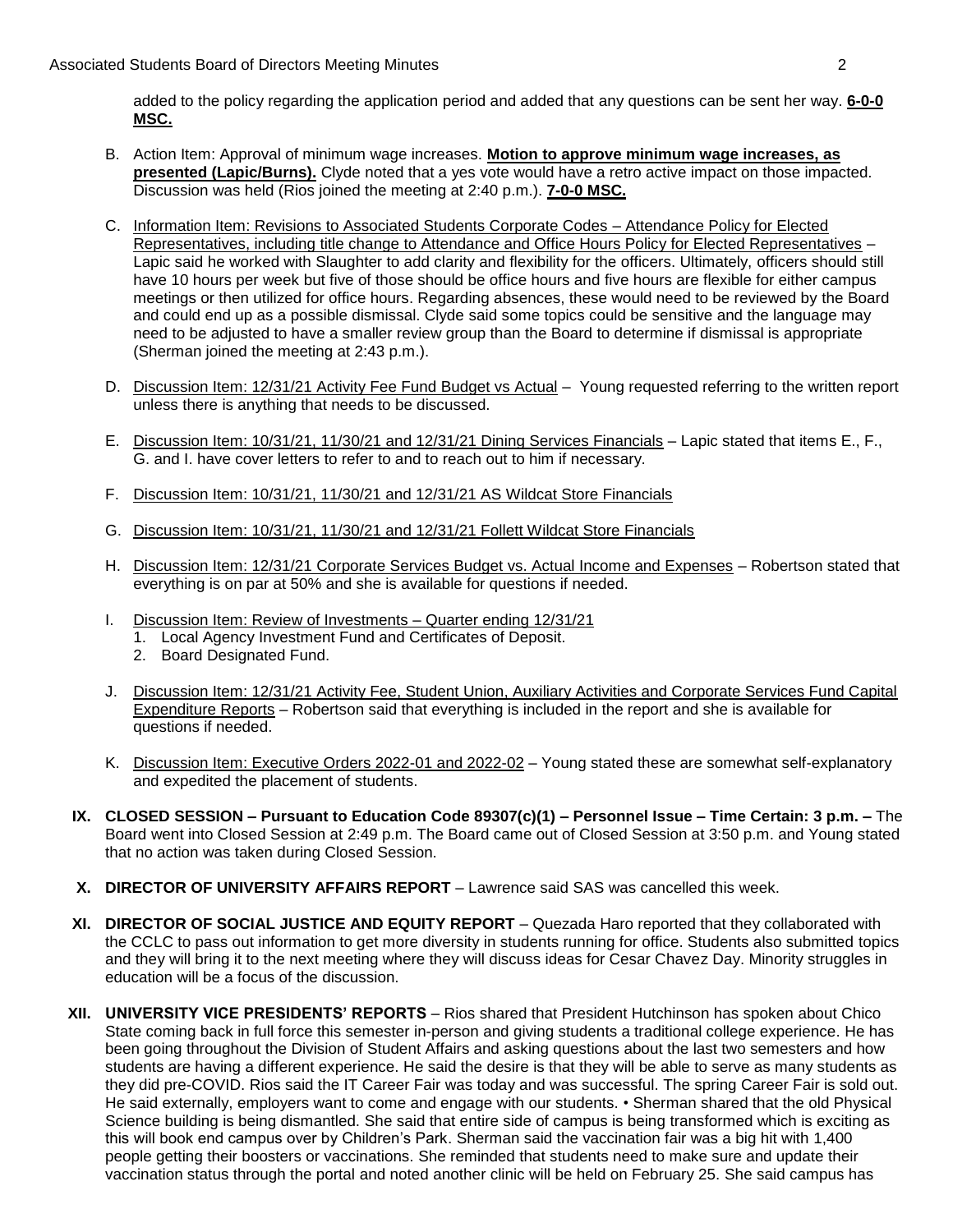added to the policy regarding the application period and added that any questions can be sent her way. **6-0-0 MSC.** 

- B. Action Item: Approval of minimum wage increases. **Motion to approve minimum wage increases, as presented (Lapic/Burns).** Clyde noted that a yes vote would have a retro active impact on those impacted. Discussion was held (Rios joined the meeting at 2:40 p.m.). **7-0-0 MSC.**
- have 10 hours per week but five of those should be office hours and five hours are flexible for either campus C. Information Item: Revisions to Associated Students Corporate Codes – Attendance Policy for Elected Representatives, including title change to Attendance and Office Hours Policy for Elected Representatives – Lapic said he worked with Slaughter to add clarity and flexibility for the officers. Ultimately, officers should still meetings or then utilized for office hours. Regarding absences, these would need to be reviewed by the Board and could end up as a possible dismissal. Clyde said some topics could be sensitive and the language may need to be adjusted to have a smaller review group than the Board to determine if dismissal is appropriate (Sherman joined the meeting at 2:43 p.m.).
- D. Discussion Item: 12/31/21 Activity Fee Fund Budget vs Actual Young requested referring to the written report unless there is anything that needs to be discussed.
- E. Discussion Item: 10/31/21, 11/30/21 and 12/31/21 Dining Services Financials Lapic stated that items E., F., G. and I. have cover letters to refer to and to reach out to him if necessary.
- F. Discussion Item: 10/31/21, 11/30/21 and 12/31/21 AS Wildcat Store Financials
- G. Discussion Item: 10/31/21, 11/30/21 and 12/31/21 Follett Wildcat Store Financials
- everything is on par at 50% and she is available for questions if needed. H. Discussion Item: 12/31/21 Corporate Services Budget vs. Actual Income and Expenses - Robertson stated that
- I. Discussion Item: Review of Investments Quarter ending 12/31/21
	- 1. Local Agency Investment Fund and Certificates of Deposit.
	- 2. Board Designated Fund.
- J. Discussion Item: 12/31/21 Activity Fee, Student Union, Auxiliary Activities and Corporate Services Fund Capital Expenditure Reports – Robertson said that everything is included in the report and she is available for questions if needed.
- K. Discussion Item: Executive Orders 2022-01 and 2022-02 Young stated these are somewhat self-explanatory and expedited the placement of students.
- **IX. CLOSED SESSION – Pursuant to Education Code 89307(c)(1) – Personnel Issue – Time Certain: 3 p.m. –** The Board went into Closed Session at 2:49 p.m. The Board came out of Closed Session at 3:50 p.m. and Young stated that no action was taken during Closed Session.
- **X. DIRECTOR OF UNIVERSITY AFFAIRS REPORT** Lawrence said SAS was cancelled this week.
- **XI. DIRECTOR OF SOCIAL JUSTICE AND EQUITY REPORT**  Quezada Haro reported that they collaborated with and they will bring it to the next meeting where they will discuss ideas for Cesar Chavez Day. Minority struggles in education will be a focus of the discussion. the CCLC to pass out information to get more diversity in students running for office. Students also submitted topics
- students are having a different experience. He said the desire is that they will be able to serve as many students as they did pre-COVID. Rios said the IT Career Fair was today and was successful. The spring Career Fair is sold out. people getting their boosters or vaccinations. She reminded that students need to make sure and update their vaccination status through the portal and noted another clinic will be held on February 25. She said campus has **XII. UNIVERSITY VICE PRESIDENTS' REPORTS** – Rios shared that President Hutchinson has spoken about Chico State coming back in full force this semester in-person and giving students a traditional college experience. He has been going throughout the Division of Student Affairs and asking questions about the last two semesters and how He said externally, employers want to come and engage with our students. • Sherman shared that the old Physical Science building is being dismantled. She said that entire side of campus is being transformed which is exciting as this will book end campus over by Children's Park. Sherman said the vaccination fair was a big hit with 1,400